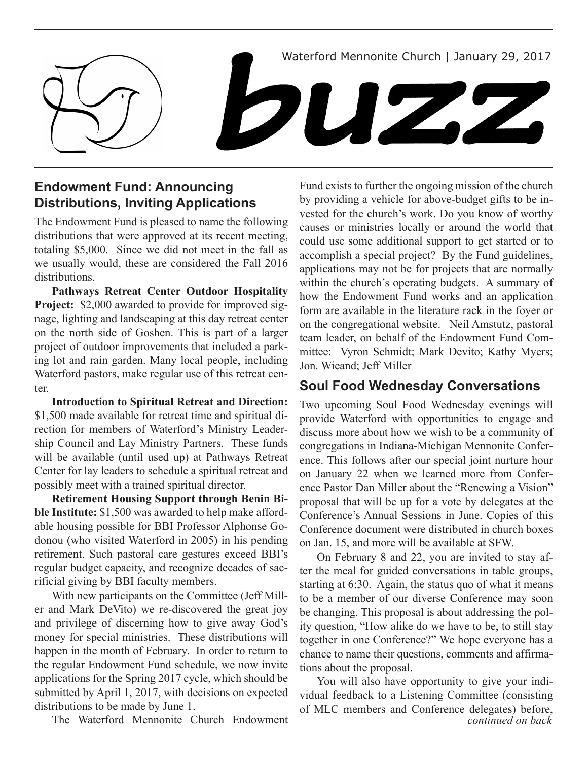

# **Endowment Fund: Announcing Distributions, Inviting Applications**

The Endowment Fund is pleased to name the following distributions that were approved at its recent meeting, totaling \$5,000. Since we did not meet in the fall as we usually would, these are considered the Fall 2016 distributions.

**Pathways Retreat Center Outdoor Hospitality Project:** \$2,000 awarded to provide for improved signage, lighting and landscaping at this day retreat center on the north side of Goshen. This is part of a larger project of outdoor improvements that included a parking lot and rain garden. Many local people, including Waterford pastors, make regular use of this retreat center.

**Introduction to Spiritual Retreat and Direction:**  \$1,500 made available for retreat time and spiritual direction for members of Waterford's Ministry Leadership Council and Lay Ministry Partners. These funds will be available (until used up) at Pathways Retreat Center for lay leaders to schedule a spiritual retreat and possibly meet with a trained spiritual director.

**Retirement Housing Support through Benin Bible Institute:** \$1,500 was awarded to help make affordable housing possible for BBI Professor Alphonse Godonou (who visited Waterford in 2005) in his pending retirement. Such pastoral care gestures exceed BBI's regular budget capacity, and recognize decades of sacrificial giving by BBI faculty members.

With new participants on the Committee (Jeff Miller and Mark DeVito) we re-discovered the great joy and privilege of discerning how to give away God's money for special ministries. These distributions will happen in the month of February. In order to return to the regular Endowment Fund schedule, we now invite applications for the Spring 2017 cycle, which should be submitted by April 1, 2017, with decisions on expected distributions to be made by June 1.

Fund exists to further the ongoing mission of the church by providing a vehicle for above-budget gifts to be invested for the church's work. Do you know of worthy causes or ministries locally or around the world that could use some additional support to get started or to accomplish a special project? By the Fund guidelines, applications may not be for projects that are normally within the church's operating budgets. A summary of how the Endowment Fund works and an application form are available in the literature rack in the foyer or on the congregational website. –Neil Amstutz, pastoral team leader, on behalf of the Endowment Fund Committee: Vyron Schmidt; Mark Devito; Kathy Myers; Jon. Wieand; Jeff Miller

## **Soul Food Wednesday Conversations**

Two upcoming Soul Food Wednesday evenings will provide Waterford with opportunities to engage and discuss more about how we wish to be a community of congregations in Indiana-Michigan Mennonite Conference. This follows after our special joint nurture hour on January 22 when we learned more from Conference Pastor Dan Miller about the "Renewing a Vision" proposal that will be up for a vote by delegates at the Conference's Annual Sessions in June. Copies of this Conference document were distributed in church boxes on Jan. 15, and more will be available at SFW.

On February 8 and 22, you are invited to stay after the meal for guided conversations in table groups, starting at 6:30. Again, the status quo of what it means to be a member of our diverse Conference may soon be changing. This proposal is about addressing the polity question, "How alike do we have to be, to still stay together in one Conference?" We hope everyone has a chance to name their questions, comments and affirmations about the proposal.

The Waterford Mennonite Church Endowment *continued on back*  You will also have opportunity to give your individual feedback to a Listening Committee (consisting of MLC members and Conference delegates) before,